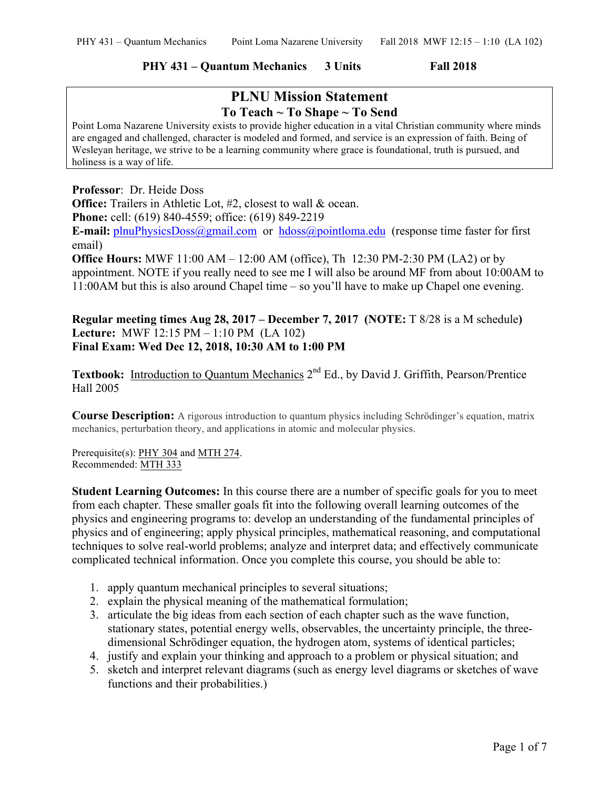# **PHY 431 – Quantum Mechanics 3 Units Fall 2018**

# **PLNU Mission Statement To Teach ~ To Shape ~ To Send**

Point Loma Nazarene University exists to provide higher education in a vital Christian community where minds are engaged and challenged, character is modeled and formed, and service is an expression of faith. Being of Wesleyan heritage, we strive to be a learning community where grace is foundational, truth is pursued, and holiness is a way of life.

**Professor**: Dr. Heide Doss

**Office:** Trailers in Athletic Lot, #2, closest to wall & ocean. **Phone:** cell: (619) 840-4559; office: (619) 849-2219

**E-mail:** plnuPhysicsDoss@gmail.com or hdoss@pointloma.edu (response time faster for first email)

**Office Hours:** MWF 11:00 AM – 12:00 AM (office), Th 12:30 PM-2:30 PM (LA2) or by appointment. NOTE if you really need to see me I will also be around MF from about 10:00AM to 11:00AM but this is also around Chapel time – so you'll have to make up Chapel one evening.

# **Regular meeting times Aug 28, 2017 – December 7, 2017 (NOTE:** T 8/28 is a M schedule**) Lecture:** MWF 12:15 PM – 1:10 PM (LA 102) **Final Exam: Wed Dec 12, 2018, 10:30 AM to 1:00 PM**

Textbook: Introduction to Quantum Mechanics 2<sup>nd</sup> Ed., by David J. Griffith, Pearson/Prentice Hall 2005

**Course Description:** A rigorous introduction to quantum physics including Schrödinger's equation, matrix mechanics, perturbation theory, and applications in atomic and molecular physics.

Prerequisite(s): PHY 304 and MTH 274. Recommended: MTH 333

**Student Learning Outcomes:** In this course there are a number of specific goals for you to meet from each chapter. These smaller goals fit into the following overall learning outcomes of the physics and engineering programs to: develop an understanding of the fundamental principles of physics and of engineering; apply physical principles, mathematical reasoning, and computational techniques to solve real-world problems; analyze and interpret data; and effectively communicate complicated technical information. Once you complete this course, you should be able to:

- 1. apply quantum mechanical principles to several situations;
- 2. explain the physical meaning of the mathematical formulation;
- 3. articulate the big ideas from each section of each chapter such as the wave function, stationary states, potential energy wells, observables, the uncertainty principle, the threedimensional Schrödinger equation, the hydrogen atom, systems of identical particles;
- 4. justify and explain your thinking and approach to a problem or physical situation; and
- 5. sketch and interpret relevant diagrams (such as energy level diagrams or sketches of wave functions and their probabilities.)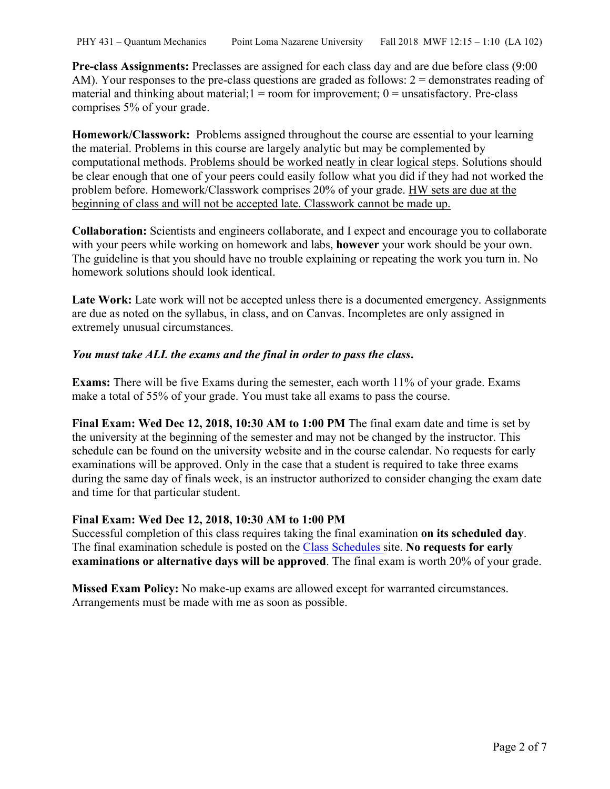**Pre-class Assignments:** Preclasses are assigned for each class day and are due before class (9:00 AM). Your responses to the pre-class questions are graded as follows:  $2 =$  demonstrates reading of material and thinking about material;  $1 =$  room for improvement;  $0 =$  unsatisfactory. Pre-class comprises 5% of your grade.

**Homework/Classwork:** Problems assigned throughout the course are essential to your learning the material. Problems in this course are largely analytic but may be complemented by computational methods. Problems should be worked neatly in clear logical steps. Solutions should be clear enough that one of your peers could easily follow what you did if they had not worked the problem before. Homework/Classwork comprises 20% of your grade. HW sets are due at the beginning of class and will not be accepted late. Classwork cannot be made up.

**Collaboration:** Scientists and engineers collaborate, and I expect and encourage you to collaborate with your peers while working on homework and labs, **however** your work should be your own. The guideline is that you should have no trouble explaining or repeating the work you turn in. No homework solutions should look identical.

Late Work: Late work will not be accepted unless there is a documented emergency. Assignments are due as noted on the syllabus, in class, and on Canvas. Incompletes are only assigned in extremely unusual circumstances.

# *You must take ALL the exams and the final in order to pass the class***.**

**Exams:** There will be five Exams during the semester, each worth 11% of your grade. Exams make a total of 55% of your grade. You must take all exams to pass the course.

**Final Exam: Wed Dec 12, 2018, 10:30 AM to 1:00 PM** The final exam date and time is set by the university at the beginning of the semester and may not be changed by the instructor. This schedule can be found on the university website and in the course calendar. No requests for early examinations will be approved. Only in the case that a student is required to take three exams during the same day of finals week, is an instructor authorized to consider changing the exam date and time for that particular student.

### **Final Exam: Wed Dec 12, 2018, 10:30 AM to 1:00 PM**

Successful completion of this class requires taking the final examination **on its scheduled day**. The final examination schedule is posted on the Class Schedules site. **No requests for early examinations or alternative days will be approved**. The final exam is worth 20% of your grade.

**Missed Exam Policy:** No make-up exams are allowed except for warranted circumstances. Arrangements must be made with me as soon as possible.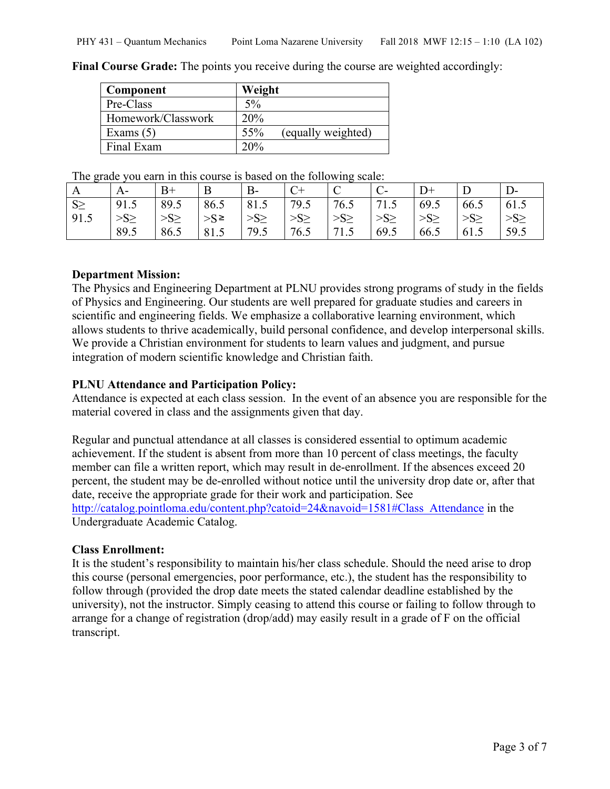| Component          | Weight                    |
|--------------------|---------------------------|
| Pre-Class          | $5\%$                     |
| Homework/Classwork | 20%                       |
| Exams $(5)$        | (equally weighted)<br>55% |
| Final Exam         | 20%                       |

**Final Course Grade:** The points you receive during the course are weighted accordingly:

The grade you earn in this course is based on the following scale:

| A        | A-        |          | B      | $B-$          |           | ◡         |           |           |           | D-        |
|----------|-----------|----------|--------|---------------|-----------|-----------|-----------|-----------|-----------|-----------|
| $S \geq$ | 91.5      | 89.5     | 86.5   | 81.5          | 79.5      | 76.5      | 71.5      | 69.5      | 66.5      | 61.5      |
| 91.5     | $>S \geq$ | $>S\geq$ | $>$ S≥ | $\geq S \geq$ | $>S \geq$ | $>S \geq$ | $>S \geq$ | $>S \geq$ | $>S \geq$ | $>S \geq$ |
|          | 89.5      | 86.5     | 81.5   | 79.5          | 76.5      | 71.5      | 69.5      | 66.5      | 61.5      | 59.5      |

## **Department Mission:**

The Physics and Engineering Department at PLNU provides strong programs of study in the fields of Physics and Engineering. Our students are well prepared for graduate studies and careers in scientific and engineering fields. We emphasize a collaborative learning environment, which allows students to thrive academically, build personal confidence, and develop interpersonal skills. We provide a Christian environment for students to learn values and judgment, and pursue integration of modern scientific knowledge and Christian faith.

# **PLNU Attendance and Participation Policy:**

Attendance is expected at each class session. In the event of an absence you are responsible for the material covered in class and the assignments given that day.

Regular and punctual attendance at all classes is considered essential to optimum academic achievement. If the student is absent from more than 10 percent of class meetings, the faculty member can file a written report, which may result in de-enrollment. If the absences exceed 20 percent, the student may be de-enrolled without notice until the university drop date or, after that date, receive the appropriate grade for their work and participation. See http://catalog.pointloma.edu/content.php?catoid=24&navoid=1581#Class\_Attendance in the Undergraduate Academic Catalog.

#### **Class Enrollment:**

It is the student's responsibility to maintain his/her class schedule. Should the need arise to drop this course (personal emergencies, poor performance, etc.), the student has the responsibility to follow through (provided the drop date meets the stated calendar deadline established by the university), not the instructor. Simply ceasing to attend this course or failing to follow through to arrange for a change of registration (drop/add) may easily result in a grade of F on the official transcript.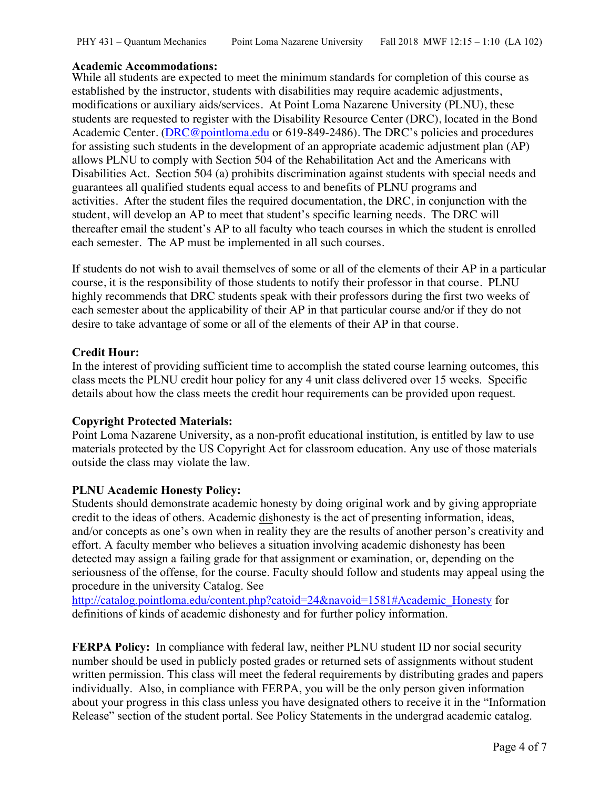## **Academic Accommodations:**

While all students are expected to meet the minimum standards for completion of this course as established by the instructor, students with disabilities may require academic adjustments, modifications or auxiliary aids/services. At Point Loma Nazarene University (PLNU), these students are requested to register with the Disability Resource Center (DRC), located in the Bond Academic Center. (DRC@pointloma.edu or 619-849-2486). The DRC's policies and procedures for assisting such students in the development of an appropriate academic adjustment plan (AP) allows PLNU to comply with Section 504 of the Rehabilitation Act and the Americans with Disabilities Act. Section 504 (a) prohibits discrimination against students with special needs and guarantees all qualified students equal access to and benefits of PLNU programs and activities. After the student files the required documentation, the DRC, in conjunction with the student, will develop an AP to meet that student's specific learning needs. The DRC will thereafter email the student's AP to all faculty who teach courses in which the student is enrolled each semester. The AP must be implemented in all such courses.

If students do not wish to avail themselves of some or all of the elements of their AP in a particular course, it is the responsibility of those students to notify their professor in that course. PLNU highly recommends that DRC students speak with their professors during the first two weeks of each semester about the applicability of their AP in that particular course and/or if they do not desire to take advantage of some or all of the elements of their AP in that course.

## **Credit Hour:**

In the interest of providing sufficient time to accomplish the stated course learning outcomes, this class meets the PLNU credit hour policy for any 4 unit class delivered over 15 weeks. Specific details about how the class meets the credit hour requirements can be provided upon request.

### **Copyright Protected Materials:**

Point Loma Nazarene University, as a non-profit educational institution, is entitled by law to use materials protected by the US Copyright Act for classroom education. Any use of those materials outside the class may violate the law.

### **PLNU Academic Honesty Policy:**

Students should demonstrate academic honesty by doing original work and by giving appropriate credit to the ideas of others. Academic dishonesty is the act of presenting information, ideas, and/or concepts as one's own when in reality they are the results of another person's creativity and effort. A faculty member who believes a situation involving academic dishonesty has been detected may assign a failing grade for that assignment or examination, or, depending on the seriousness of the offense, for the course. Faculty should follow and students may appeal using the procedure in the university Catalog. See

http://catalog.pointloma.edu/content.php?catoid=24&navoid=1581#Academic\_Honesty for definitions of kinds of academic dishonesty and for further policy information.

**FERPA Policy:** In compliance with federal law, neither PLNU student ID nor social security number should be used in publicly posted grades or returned sets of assignments without student written permission. This class will meet the federal requirements by distributing grades and papers individually. Also, in compliance with FERPA, you will be the only person given information about your progress in this class unless you have designated others to receive it in the "Information Release" section of the student portal. See Policy Statements in the undergrad academic catalog.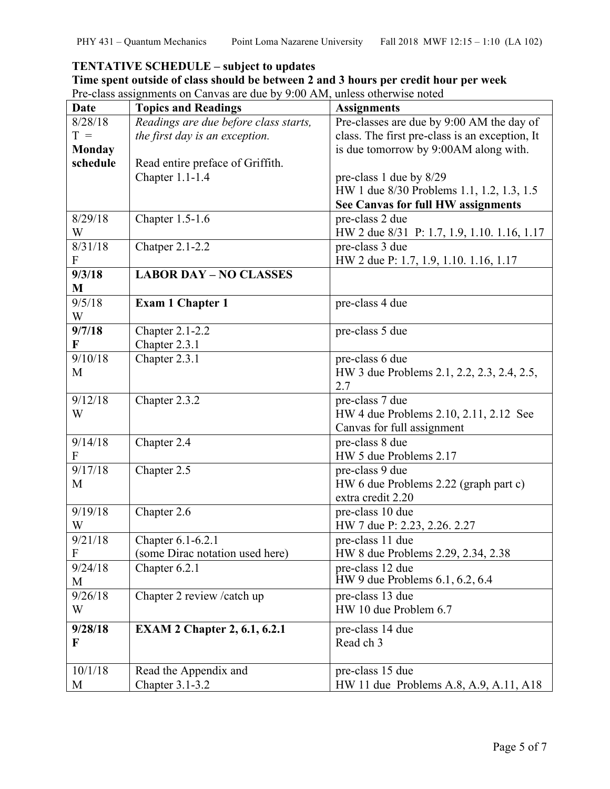# **TENTATIVE SCHEDULE – subject to updates**

|  |  |  | Time spent outside of class should be between 2 and 3 hours per credit hour per week |  |  |  |  |
|--|--|--|--------------------------------------------------------------------------------------|--|--|--|--|
|  |  |  |                                                                                      |  |  |  |  |

Pre-class assignments on Canvas are due by 9:00 AM, unless otherwise noted

| <b>Date</b>               | <b>Topics and Readings</b>                           | <b>Assignments</b>                                     |
|---------------------------|------------------------------------------------------|--------------------------------------------------------|
| $\frac{8}{28}$ /18        | Readings are due before class starts,                | Pre-classes are due by 9:00 AM the day of              |
| $T =$                     | the first day is an exception.                       | class. The first pre-class is an exception, It         |
| <b>Monday</b>             |                                                      | is due tomorrow by 9:00AM along with.                  |
| schedule                  | Read entire preface of Griffith.                     |                                                        |
|                           | Chapter 1.1-1.4                                      | pre-class 1 due by 8/29                                |
|                           |                                                      | HW 1 due 8/30 Problems 1.1, 1.2, 1.3, 1.5              |
|                           |                                                      | See Canvas for full HW assignments                     |
| 8/29/18                   | Chapter 1.5-1.6                                      | pre-class 2 due                                        |
| W                         |                                                      | HW 2 due 8/31 P: 1.7, 1.9, 1.10. 1.16, 1.17            |
| 8/31/18                   | Chatper 2.1-2.2                                      | pre-class 3 due                                        |
| F                         |                                                      | HW 2 due P: 1.7, 1.9, 1.10. 1.16, 1.17                 |
| 9/3/18                    | <b>LABOR DAY - NO CLASSES</b>                        |                                                        |
| M                         |                                                      |                                                        |
| 9/5/18                    | Exam 1 Chapter 1                                     | pre-class 4 due                                        |
| W                         |                                                      |                                                        |
| 9/7/18                    | Chapter 2.1-2.2                                      | pre-class 5 due                                        |
| F                         | Chapter 2.3.1                                        |                                                        |
| 9/10/18                   | Chapter 2.3.1                                        | pre-class 6 due                                        |
| M                         |                                                      | HW 3 due Problems 2.1, 2.2, 2.3, 2.4, 2.5,             |
|                           |                                                      | 2.7                                                    |
| 9/12/18                   | Chapter 2.3.2                                        | pre-class 7 due                                        |
| W                         |                                                      | HW 4 due Problems 2.10, 2.11, 2.12 See                 |
|                           |                                                      | Canvas for full assignment                             |
| 9/14/18                   | Chapter 2.4                                          | pre-class 8 due                                        |
| F                         |                                                      | HW 5 due Problems 2.17                                 |
| 9/17/18                   | Chapter 2.5                                          | pre-class 9 due                                        |
| M                         |                                                      | HW 6 due Problems 2.22 (graph part c)                  |
|                           |                                                      | extra credit 2.20                                      |
| 9/19/18                   | Chapter 2.6                                          | pre-class 10 due                                       |
| W<br>9/21/18              |                                                      | HW 7 due P: 2.23, 2.26. 2.27                           |
| $\boldsymbol{\mathrm{F}}$ | Chapter 6.1-6.2.1<br>(some Dirac notation used here) | pre-class 11 due<br>HW 8 due Problems 2.29, 2.34, 2.38 |
| 9/24/18                   | Chapter 6.2.1                                        | pre-class 12 due                                       |
| M                         |                                                      | $HW 9$ due Problems $6.1, 6.2, 6.4$                    |
| 9/26/18                   | Chapter 2 review / catch up                          | pre-class 13 due                                       |
| W                         |                                                      | HW 10 due Problem 6.7                                  |
|                           |                                                      |                                                        |
| 9/28/18                   | <b>EXAM 2 Chapter 2, 6.1, 6.2.1</b>                  | pre-class 14 due                                       |
| F                         |                                                      | Read ch 3                                              |
|                           |                                                      |                                                        |
| 10/1/18                   | Read the Appendix and                                | pre-class 15 due                                       |
| M                         | Chapter 3.1-3.2                                      | HW 11 due Problems A.8, A.9, A.11, A18                 |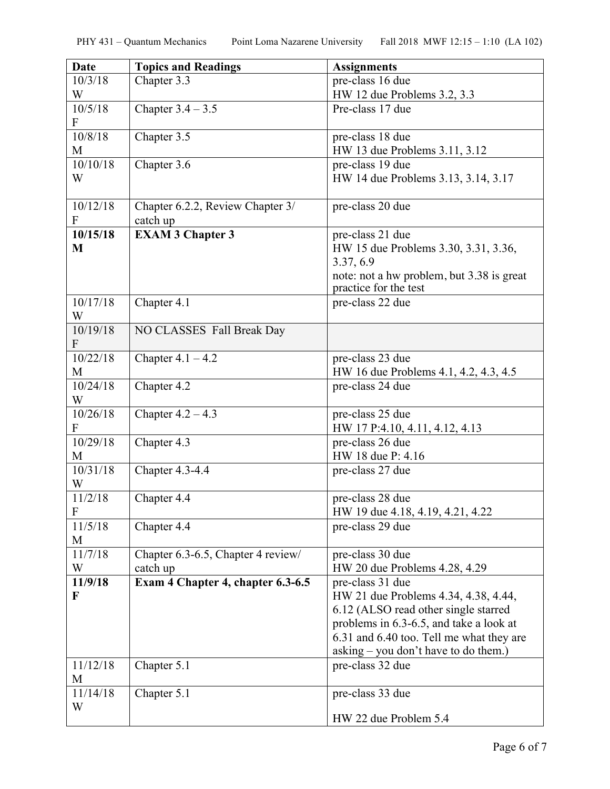| <b>Date</b>                           | <b>Topics and Readings</b>                   | <b>Assignments</b>                                                                                                                                                                                                              |
|---------------------------------------|----------------------------------------------|---------------------------------------------------------------------------------------------------------------------------------------------------------------------------------------------------------------------------------|
| 10/3/18                               | Chapter 3.3                                  | pre-class 16 due                                                                                                                                                                                                                |
| W                                     |                                              | HW 12 due Problems 3.2, 3.3                                                                                                                                                                                                     |
| 10/5/18<br>$\boldsymbol{\mathrm{F}}$  | Chapter $3.4 - 3.5$                          | Pre-class 17 due                                                                                                                                                                                                                |
| 10/8/18                               | Chapter 3.5                                  | pre-class 18 due                                                                                                                                                                                                                |
| M                                     |                                              | HW 13 due Problems 3.11, 3.12                                                                                                                                                                                                   |
| 10/10/18<br>W                         | Chapter 3.6                                  | pre-class 19 due<br>HW 14 due Problems 3.13, 3.14, 3.17                                                                                                                                                                         |
| 10/12/18<br>F                         | Chapter 6.2.2, Review Chapter 3/<br>catch up | pre-class 20 due                                                                                                                                                                                                                |
| 10/15/18<br>M                         | <b>EXAM 3 Chapter 3</b>                      | pre-class 21 due<br>HW 15 due Problems 3.30, 3.31, 3.36,<br>3.37, 6.9<br>note: not a hw problem, but 3.38 is great<br>practice for the test                                                                                     |
| 10/17/18<br>W                         | Chapter 4.1                                  | pre-class 22 due                                                                                                                                                                                                                |
| 10/19/18<br>$\boldsymbol{\mathrm{F}}$ | NO CLASSES Fall Break Day                    |                                                                                                                                                                                                                                 |
| 10/22/18                              | Chapter $4.1 - 4.2$                          | pre-class 23 due                                                                                                                                                                                                                |
| M                                     |                                              | HW 16 due Problems 4.1, 4.2, 4.3, 4.5                                                                                                                                                                                           |
| 10/24/18<br>W                         | Chapter 4.2                                  | pre-class 24 due                                                                                                                                                                                                                |
| 10/26/18<br>${\bf F}$                 | Chapter $4.2 - 4.3$                          | pre-class 25 due<br>HW 17 P:4.10, 4.11, 4.12, 4.13                                                                                                                                                                              |
| 10/29/18<br>M                         | Chapter 4.3                                  | pre-class 26 due<br>HW 18 due P: 4.16                                                                                                                                                                                           |
| 10/31/18<br>W                         | Chapter 4.3-4.4                              | pre-class 27 due                                                                                                                                                                                                                |
| 11/2/18<br>$\boldsymbol{F}$           | Chapter 4.4                                  | pre-class 28 due<br>HW 19 due 4.18, 4.19, 4.21, 4.22                                                                                                                                                                            |
| 11/5/18<br>M                          | Chapter 4.4                                  | pre-class 29 due                                                                                                                                                                                                                |
| 11/7/18                               | Chapter 6.3-6.5, Chapter 4 review/           | pre-class 30 due                                                                                                                                                                                                                |
| W                                     | catch up                                     | HW 20 due Problems 4.28, 4.29                                                                                                                                                                                                   |
| 11/9/18<br>F                          | Exam 4 Chapter 4, chapter 6.3-6.5            | pre-class 31 due<br>HW 21 due Problems 4.34, 4.38, 4.44,<br>6.12 (ALSO read other single starred<br>problems in 6.3-6.5, and take a look at<br>6.31 and 6.40 too. Tell me what they are<br>asking – you don't have to do them.) |
| 11/12/18<br>M                         | Chapter 5.1                                  | pre-class 32 due                                                                                                                                                                                                                |
| 11/14/18<br>W                         | Chapter 5.1                                  | pre-class 33 due                                                                                                                                                                                                                |
|                                       |                                              | HW 22 due Problem 5.4                                                                                                                                                                                                           |